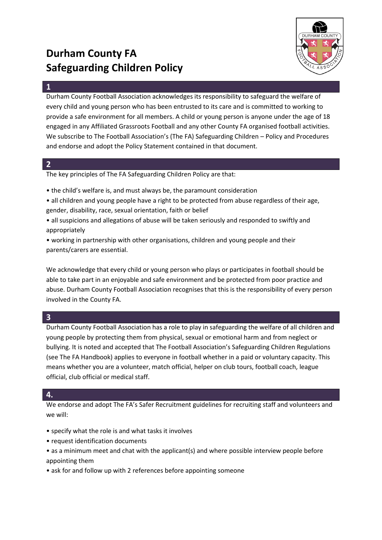# **Durham County FA Safeguarding Children Policy**



### **1**

Durham County Football Association acknowledges its responsibility to safeguard the welfare of every child and young person who has been entrusted to its care and is committed to working to provide a safe environment for all members. A child or young person is anyone under the age of 18 engaged in any Affiliated Grassroots Football and any other County FA organised football activities. We subscribe to The Football Association's (The FA) Safeguarding Children – Policy and Procedures and endorse and adopt the Policy Statement contained in that document.

## **2**

The key principles of The FA Safeguarding Children Policy are that:

- the child's welfare is, and must always be, the paramount consideration
- all children and young people have a right to be protected from abuse regardless of their age, gender, disability, race, sexual orientation, faith or belief
- all suspicions and allegations of abuse will be taken seriously and responded to swiftly and appropriately
- working in partnership with other organisations, children and young people and their parents/carers are essential.

We acknowledge that every child or young person who plays or participates in football should be able to take part in an enjoyable and safe environment and be protected from poor practice and abuse. Durham County Football Association recognises that this is the responsibility of every person involved in the County FA.

# **3**

Durham County Football Association has a role to play in safeguarding the welfare of all children and young people by protecting them from physical, sexual or emotional harm and from neglect or bullying. It is noted and accepted that The Football Association's Safeguarding Children Regulations (see The FA Handbook) applies to everyone in football whether in a paid or voluntary capacity. This means whether you are a volunteer, match official, helper on club tours, football coach, league official, club official or medical staff.

# **4.**

We endorse and adopt The FA's Safer Recruitment guidelines for recruiting staff and volunteers and we will:

- specify what the role is and what tasks it involves
- request identification documents
- as a minimum meet and chat with the applicant(s) and where possible interview people before appointing them
- ask for and follow up with 2 references before appointing someone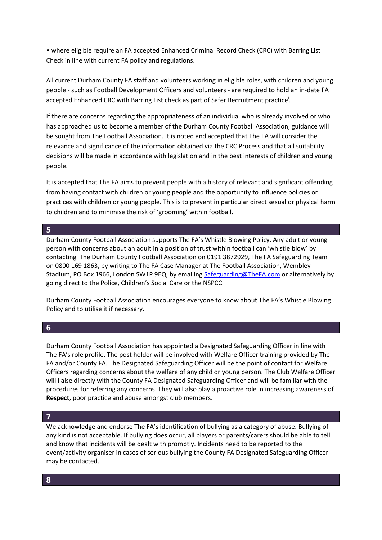• where eligible require an FA accepted Enhanced Criminal Record Check (CRC) with Barring List Check in line with current FA policy and regulations.

All current Durham County FA staff and volunteers working in eligible roles, with children and young people - such as Football Development Officers and volunteers - are required to hold an in-date FA accepted Enhanced CRC with Barring List check as part of Safer Recruitment practice<sup>'</sup>.

If there are concerns regarding the appropriateness of an individual who is already involved or who has approached us to become a member of the Durham County Football Association, guidance will be sought from The Football Association. It is noted and accepted that The FA will consider the relevance and significance of the information obtained via the CRC Process and that all suitability decisions will be made in accordance with legislation and in the best interests of children and young people.

It is accepted that The FA aims to prevent people with a history of relevant and significant offending from having contact with children or young people and the opportunity to influence policies or practices with children or young people. This is to prevent in particular direct sexual or physical harm to children and to minimise the risk of 'grooming' within football.

#### **5**

Durham County Football Association supports The FA's Whistle Blowing Policy. Any adult or young person with concerns about an adult in a position of trust within football can 'whistle blow' by contacting The Durham County Football Association on 0191 3872929, The FA Safeguarding Team on 0800 169 1863, by writing to The FA Case Manager at The Football Association, Wembley Stadium, PO Box 1966, London SW1P 9EQ, by emailing [Safeguarding@TheFA.com](mailto:Safeguarding@TheFA.com) or alternatively by going direct to the Police, Children's Social Care or the NSPCC.

Durham County Football Association encourages everyone to know about The FA's Whistle Blowing Policy and to utilise it if necessary.

## **6**

Durham County Football Association has appointed a Designated Safeguarding Officer in line with The FA's role profile. The post holder will be involved with Welfare Officer training provided by The FA and/or County FA. The Designated Safeguarding Officer will be the point of contact for Welfare Officers regarding concerns about the welfare of any child or young person. The Club Welfare Officer will liaise directly with the County FA Designated Safeguarding Officer and will be familiar with the procedures for referring any concerns. They will also play a proactive role in increasing awareness of **Respect**, poor practice and abuse amongst club members.

## **7**

We acknowledge and endorse The FA's identification of bullying as a category of abuse. Bullying of any kind is not acceptable. If bullying does occur, all players or parents/carers should be able to tell and know that incidents will be dealt with promptly. Incidents need to be reported to the event/activity organiser in cases of serious bullying the County FA Designated Safeguarding Officer may be contacted.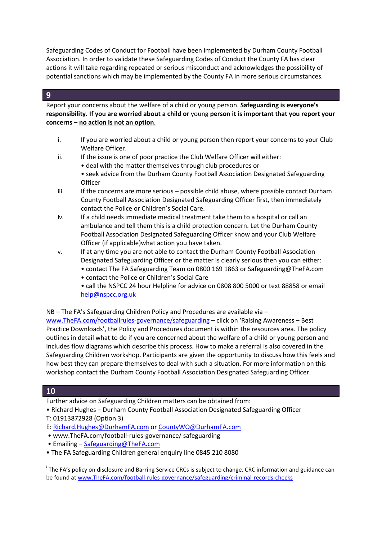Safeguarding Codes of Conduct for Football have been implemented by Durham County Football Association. In order to validate these Safeguarding Codes of Conduct the County FA has clear actions it will take regarding repeated or serious misconduct and acknowledges the possibility of potential sanctions which may be implemented by the County FA in more serious circumstances.

# **9**

Report your concerns about the welfare of a child or young person. **Safeguarding is everyone's responsibility. If you are worried about a child or** young **person it is important that you report your concerns – no action is not an option**.

- i. If you are worried about a child or young person then report your concerns to your Club Welfare Officer.
- ii. If the issue is one of poor practice the Club Welfare Officer will either:
	- deal with the matter themselves through club procedures or
	- seek advice from the Durham County Football Association Designated Safeguarding **Officer**
- $i$ iii. If the concerns are more serious possible child abuse, where possible contact Durham County Football Association Designated Safeguarding Officer first, then immediately contact the Police or Children's Social Care.
- iv. If a child needs immediate medical treatment take them to a hospital or call an ambulance and tell them this is a child protection concern. Let the Durham County Football Association Designated Safeguarding Officer know and your Club Welfare Officer (if applicable)what action you have taken.
- v. If at any time you are not able to contact the Durham County Football Association Designated Safeguarding Officer or the matter is clearly serious then you can either:
	- contact The FA Safeguarding Team on 0800 169 1863 or Safeguarding@TheFA.com
	- contact the Police or Children's Social Care
	- call the NSPCC 24 hour Helpline for advice on 0808 800 5000 or text 88858 or email [help@nspcc.org.uk](mailto:help@nspcc.org.uk)

NB – The FA's Safeguarding Children Policy and Procedures are available via –

[www.TheFA.com/footballrules-governance/safeguarding](http://www.thefa.com/footballrules-governance/safeguarding) – click on 'Raising Awareness – Best Practice Downloads', the Policy and Procedures document is within the resources area. The policy outlines in detail what to do if you are concerned about the welfare of a child or young person and includes flow diagrams which describe this process. How to make a referral is also covered in the Safeguarding Children workshop. Participants are given the opportunity to discuss how this feels and how best they can prepare themselves to deal with such a situation. For more information on this workshop contact the Durham County Football Association Designated Safeguarding Officer.

# **10**

**.** 

- Further advice on Safeguarding Children matters can be obtained from:
- Richard Hughes Durham County Football Association Designated Safeguarding Officer
- T: 01913872928 (Option 3)
- E: [Richard.Hughes@DurhamFA.com](mailto:Richard.Hughes@DurhamFA.com) or [CountyWO@DurhamFA.com](mailto:CountyWO@DurhamFA.com)
- www.TheFA.com/football-rules-governance/ safeguarding
- Emailing [Safeguarding@TheFA.com](mailto:Safeguarding@TheFA.com)
- The FA Safeguarding Children general enquiry line 0845 210 8080

<sup>&</sup>lt;sup>i</sup> The FA's policy on disclosure and Barring Service CRCs is subject to change. CRC information and guidance can be found at [www.TheFA.com/football-rules-governance/safeguarding/criminal-records-checks](http://www.thefa.com/football-rules-governance/safeguarding/criminal-records-checks)